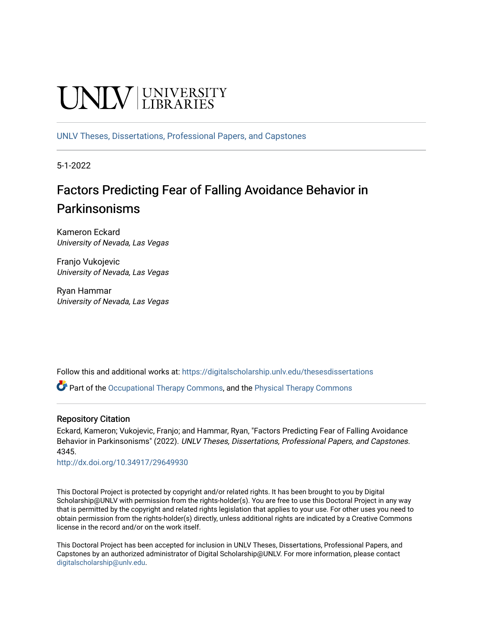# **UNIVERSITY**

[UNLV Theses, Dissertations, Professional Papers, and Capstones](https://digitalscholarship.unlv.edu/thesesdissertations)

5-1-2022

# Factors Predicting Fear of Falling Avoidance Behavior in Parkinsonisms

Kameron Eckard University of Nevada, Las Vegas

Franjo Vukojevic University of Nevada, Las Vegas

Ryan Hammar University of Nevada, Las Vegas

Follow this and additional works at: [https://digitalscholarship.unlv.edu/thesesdissertations](https://digitalscholarship.unlv.edu/thesesdissertations?utm_source=digitalscholarship.unlv.edu%2Fthesesdissertations%2F4345&utm_medium=PDF&utm_campaign=PDFCoverPages)

 $\bullet$  Part of the [Occupational Therapy Commons,](https://network.bepress.com/hgg/discipline/752?utm_source=digitalscholarship.unlv.edu%2Fthesesdissertations%2F4345&utm_medium=PDF&utm_campaign=PDFCoverPages) and the Physical Therapy Commons

#### Repository Citation

Eckard, Kameron; Vukojevic, Franjo; and Hammar, Ryan, "Factors Predicting Fear of Falling Avoidance Behavior in Parkinsonisms" (2022). UNLV Theses, Dissertations, Professional Papers, and Capstones. 4345.

<http://dx.doi.org/10.34917/29649930>

This Doctoral Project is protected by copyright and/or related rights. It has been brought to you by Digital Scholarship@UNLV with permission from the rights-holder(s). You are free to use this Doctoral Project in any way that is permitted by the copyright and related rights legislation that applies to your use. For other uses you need to obtain permission from the rights-holder(s) directly, unless additional rights are indicated by a Creative Commons license in the record and/or on the work itself.

This Doctoral Project has been accepted for inclusion in UNLV Theses, Dissertations, Professional Papers, and Capstones by an authorized administrator of Digital Scholarship@UNLV. For more information, please contact [digitalscholarship@unlv.edu](mailto:digitalscholarship@unlv.edu).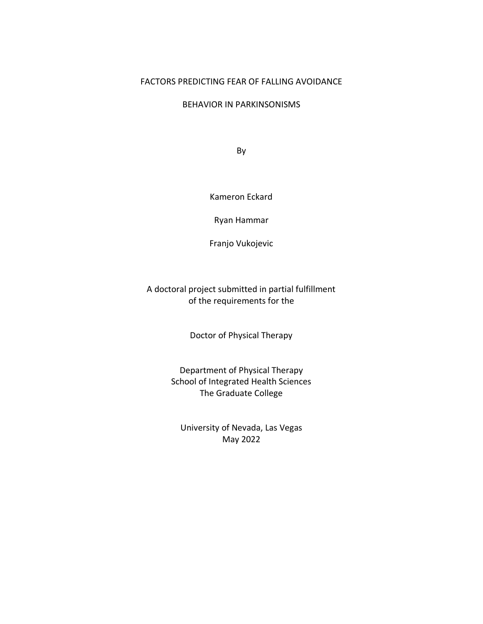#### FACTORS PREDICTING FEAR OF FALLING AVOIDANCE

#### BEHAVIOR IN PARKINSONISMS

By

Kameron Eckard

Ryan Hammar

Franjo Vukojevic

A doctoral project submitted in partial fulfillment of the requirements for the

Doctor of Physical Therapy

Department of Physical Therapy School of Integrated Health Sciences The Graduate College

University of Nevada, Las Vegas May 2022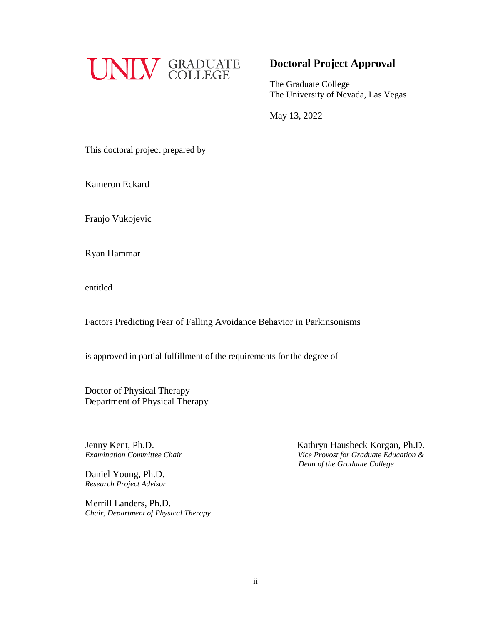

# **Doctoral Project Approval**

The Graduate College The University of Nevada, Las Vegas

May 13, 2022

This doctoral project prepared by

Kameron Eckard

Franjo Vukojevic

Ryan Hammar

entitled

Factors Predicting Fear of Falling Avoidance Behavior in Parkinsonisms

is approved in partial fulfillment of the requirements for the degree of

Doctor of Physical Therapy Department of Physical Therapy

Jenny Kent, Ph.D.

Daniel Young, Ph.D. *Research Project Advisor*

Merrill Landers, Ph.D. *Chair, Department of Physical Therapy*

Jenny Kent, Ph.D.<br>*Examination Committee Chair* **Examination Committee Chair Committee Chair** *Vice Provost for Graduate Education & Examination Committee Chair Vice Provost for Graduate Education & Dean of the Graduate College*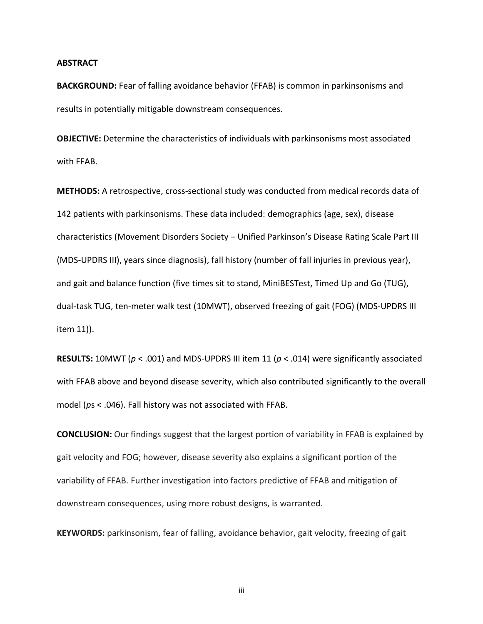#### **ABSTRACT**

**BACKGROUND:** Fear of falling avoidance behavior (FFAB) is common in parkinsonisms and results in potentially mitigable downstream consequences.

**OBJECTIVE:** Determine the characteristics of individuals with parkinsonisms most associated with FFAB.

**METHODS:** A retrospective, cross-sectional study was conducted from medical records data of 142 patients with parkinsonisms. These data included: demographics (age, sex), disease characteristics (Movement Disorders Society – Unified Parkinson's Disease Rating Scale Part III (MDS-UPDRS III), years since diagnosis), fall history (number of fall injuries in previous year), and gait and balance function (five times sit to stand, MiniBESTest, Timed Up and Go (TUG), dual-task TUG, ten-meter walk test (10MWT), observed freezing of gait (FOG) (MDS-UPDRS III item 11)).

**RESULTS:** 10MWT (*p* < .001) and MDS-UPDRS III item 11 (*p* < .014) were significantly associated with FFAB above and beyond disease severity, which also contributed significantly to the overall model (*p*s < .046). Fall history was not associated with FFAB.

**CONCLUSION:** Our findings suggest that the largest portion of variability in FFAB is explained by gait velocity and FOG; however, disease severity also explains a significant portion of the variability of FFAB. Further investigation into factors predictive of FFAB and mitigation of downstream consequences, using more robust designs, is warranted.

**KEYWORDS:** parkinsonism, fear of falling, avoidance behavior, gait velocity, freezing of gait

iii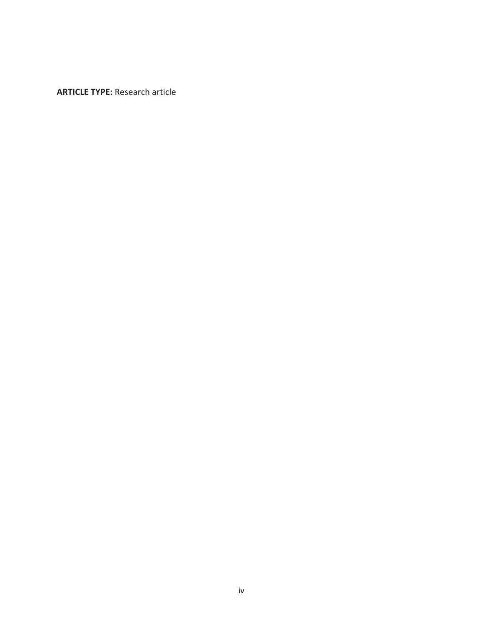**ARTICLE TYPE:** Research article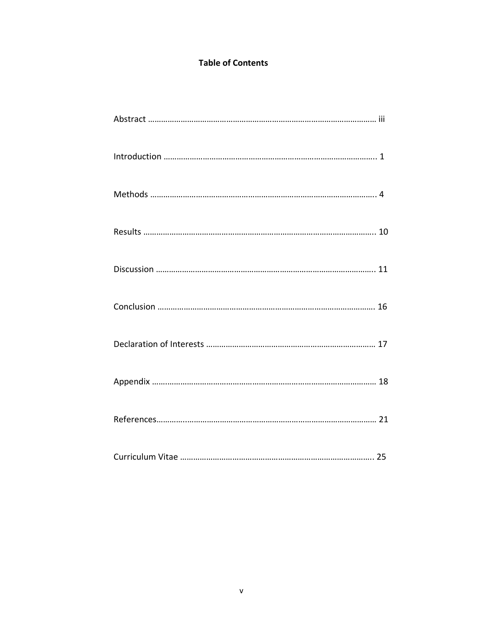# **Table of Contents**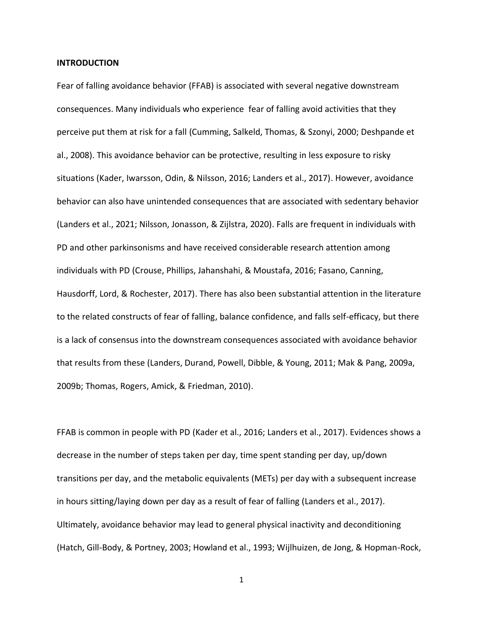#### **INTRODUCTION**

Fear of falling avoidance behavior (FFAB) is associated with several negative downstream consequences. Many individuals who experience fear of falling avoid activities that they perceive put them at risk for a fall (Cumming, Salkeld, Thomas, & Szonyi, 2000; Deshpande et al., 2008). This avoidance behavior can be protective, resulting in less exposure to risky situations (Kader, Iwarsson, Odin, & Nilsson, 2016; Landers et al., 2017). However, avoidance behavior can also have unintended consequences that are associated with sedentary behavior (Landers et al., 2021; Nilsson, Jonasson, & Zijlstra, 2020). Falls are frequent in individuals with PD and other parkinsonisms and have received considerable research attention among individuals with PD (Crouse, Phillips, Jahanshahi, & Moustafa, 2016; Fasano, Canning, Hausdorff, Lord, & Rochester, 2017). There has also been substantial attention in the literature to the related constructs of fear of falling, balance confidence, and falls self-efficacy, but there is a lack of consensus into the downstream consequences associated with avoidance behavior that results from these (Landers, Durand, Powell, Dibble, & Young, 2011; Mak & Pang, 2009a, 2009b; Thomas, Rogers, Amick, & Friedman, 2010).

FFAB is common in people with PD (Kader et al., 2016; Landers et al., 2017). Evidences shows a decrease in the number of steps taken per day, time spent standing per day, up/down transitions per day, and the metabolic equivalents (METs) per day with a subsequent increase in hours sitting/laying down per day as a result of fear of falling (Landers et al., 2017). Ultimately, avoidance behavior may lead to general physical inactivity and deconditioning (Hatch, Gill-Body, & Portney, 2003; Howland et al., 1993; Wijlhuizen, de Jong, & Hopman-Rock,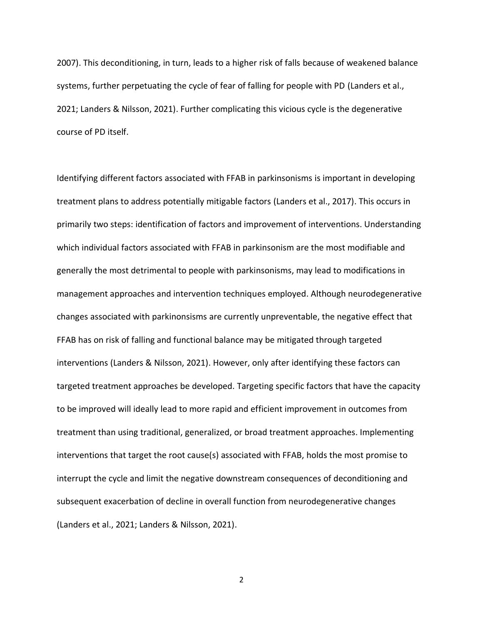2007). This deconditioning, in turn, leads to a higher risk of falls because of weakened balance systems, further perpetuating the cycle of fear of falling for people with PD (Landers et al., 2021; Landers & Nilsson, 2021). Further complicating this vicious cycle is the degenerative course of PD itself.

Identifying different factors associated with FFAB in parkinsonisms is important in developing treatment plans to address potentially mitigable factors (Landers et al., 2017). This occurs in primarily two steps: identification of factors and improvement of interventions. Understanding which individual factors associated with FFAB in parkinsonism are the most modifiable and generally the most detrimental to people with parkinsonisms, may lead to modifications in management approaches and intervention techniques employed. Although neurodegenerative changes associated with parkinonsisms are currently unpreventable, the negative effect that FFAB has on risk of falling and functional balance may be mitigated through targeted interventions (Landers & Nilsson, 2021). However, only after identifying these factors can targeted treatment approaches be developed. Targeting specific factors that have the capacity to be improved will ideally lead to more rapid and efficient improvement in outcomes from treatment than using traditional, generalized, or broad treatment approaches. Implementing interventions that target the root cause(s) associated with FFAB, holds the most promise to interrupt the cycle and limit the negative downstream consequences of deconditioning and subsequent exacerbation of decline in overall function from neurodegenerative changes (Landers et al., 2021; Landers & Nilsson, 2021).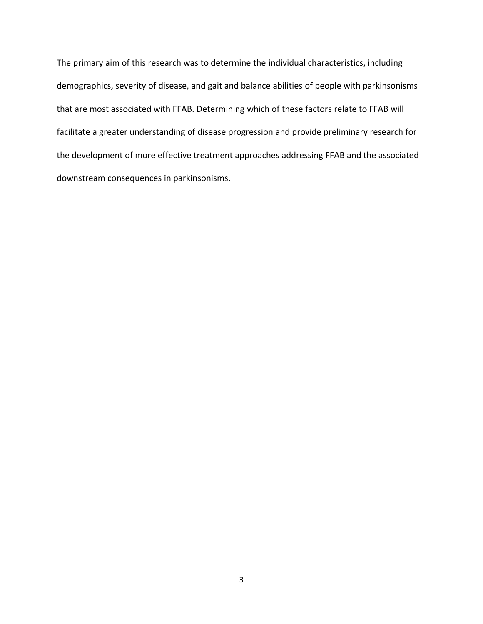The primary aim of this research was to determine the individual characteristics, including demographics, severity of disease, and gait and balance abilities of people with parkinsonisms that are most associated with FFAB. Determining which of these factors relate to FFAB will facilitate a greater understanding of disease progression and provide preliminary research for the development of more effective treatment approaches addressing FFAB and the associated downstream consequences in parkinsonisms.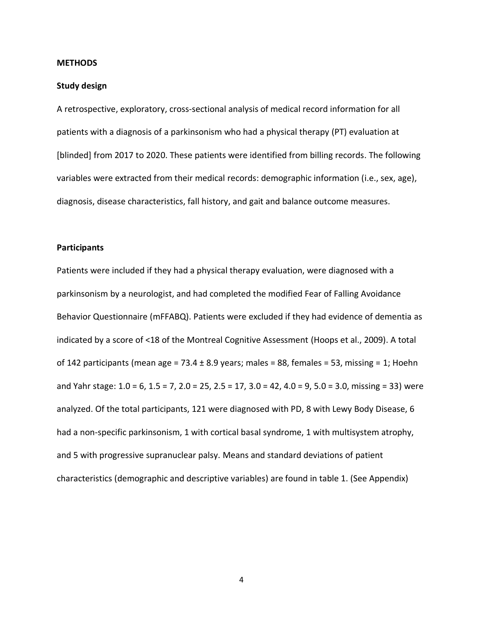#### **METHODS**

#### **Study design**

A retrospective, exploratory, cross-sectional analysis of medical record information for all patients with a diagnosis of a parkinsonism who had a physical therapy (PT) evaluation at [blinded] from 2017 to 2020. These patients were identified from billing records. The following variables were extracted from their medical records: demographic information (i.e., sex, age), diagnosis, disease characteristics, fall history, and gait and balance outcome measures.

#### **Participants**

Patients were included if they had a physical therapy evaluation, were diagnosed with a parkinsonism by a neurologist, and had completed the modified Fear of Falling Avoidance Behavior Questionnaire (mFFABQ). Patients were excluded if they had evidence of dementia as indicated by a score of <18 of the Montreal Cognitive Assessment (Hoops et al., 2009). A total of 142 participants (mean age = 73.4  $\pm$  8.9 years; males = 88, females = 53, missing = 1; Hoehn and Yahr stage: 1.0 = 6, 1.5 = 7, 2.0 = 25, 2.5 = 17, 3.0 = 42, 4.0 = 9, 5.0 = 3.0, missing = 33) were analyzed. Of the total participants, 121 were diagnosed with PD, 8 with Lewy Body Disease, 6 had a non-specific parkinsonism, 1 with cortical basal syndrome, 1 with multisystem atrophy, and 5 with progressive supranuclear palsy. Means and standard deviations of patient characteristics (demographic and descriptive variables) are found in table 1. (See Appendix)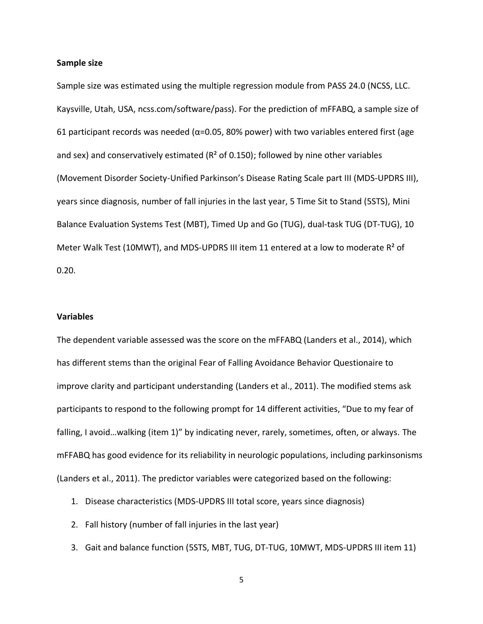#### **Sample size**

Sample size was estimated using the multiple regression module from PASS 24.0 (NCSS, LLC. Kaysville, Utah, USA, ncss.com/software/pass). For the prediction of mFFABQ, a sample size of 61 participant records was needed ( $\alpha$ =0.05, 80% power) with two variables entered first (age and sex) and conservatively estimated ( $R<sup>2</sup>$  of 0.150); followed by nine other variables (Movement Disorder Society-Unified Parkinson's Disease Rating Scale part III (MDS-UPDRS III), years since diagnosis, number of fall injuries in the last year, 5 Time Sit to Stand (5STS), Mini Balance Evaluation Systems Test (MBT), Timed Up and Go (TUG), dual-task TUG (DT-TUG), 10 Meter Walk Test (10MWT), and MDS-UPDRS III item 11 entered at a low to moderate  $R^2$  of 0.20.

#### **Variables**

The dependent variable assessed was the score on the mFFABQ (Landers et al., 2014), which has different stems than the original Fear of Falling Avoidance Behavior Questionaire to improve clarity and participant understanding (Landers et al., 2011). The modified stems ask participants to respond to the following prompt for 14 different activities, "Due to my fear of falling, I avoid…walking (item 1)" by indicating never, rarely, sometimes, often, or always. The mFFABQ has good evidence for its reliability in neurologic populations, including parkinsonisms (Landers et al., 2011). The predictor variables were categorized based on the following:

- 1. Disease characteristics (MDS-UPDRS III total score, years since diagnosis)
- 2. Fall history (number of fall injuries in the last year)
- 3. Gait and balance function (5STS, MBT, TUG, DT-TUG, 10MWT, MDS-UPDRS III item 11)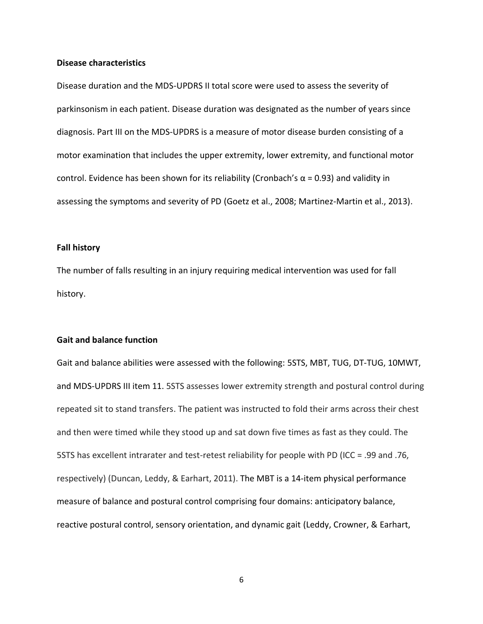#### **Disease characteristics**

Disease duration and the MDS-UPDRS II total score were used to assess the severity of parkinsonism in each patient. Disease duration was designated as the number of years since diagnosis. Part III on the MDS-UPDRS is a measure of motor disease burden consisting of a motor examination that includes the upper extremity, lower extremity, and functional motor control. Evidence has been shown for its reliability (Cronbach's  $\alpha$  = 0.93) and validity in assessing the symptoms and severity of PD (Goetz et al., 2008; Martinez-Martin et al., 2013).

#### **Fall history**

The number of falls resulting in an injury requiring medical intervention was used for fall history.

#### **Gait and balance function**

Gait and balance abilities were assessed with the following: 5STS, MBT, TUG, DT-TUG, 10MWT, and MDS-UPDRS III item 11. 5STS assesses lower extremity strength and postural control during repeated sit to stand transfers. The patient was instructed to fold their arms across their chest and then were timed while they stood up and sat down five times as fast as they could. The 5STS has excellent intrarater and test-retest reliability for people with PD (ICC = .99 and .76, respectively) (Duncan, Leddy, & Earhart, 2011). The MBT is a 14-item physical performance measure of balance and postural control comprising four domains: anticipatory balance, reactive postural control, sensory orientation, and dynamic gait (Leddy, Crowner, & Earhart,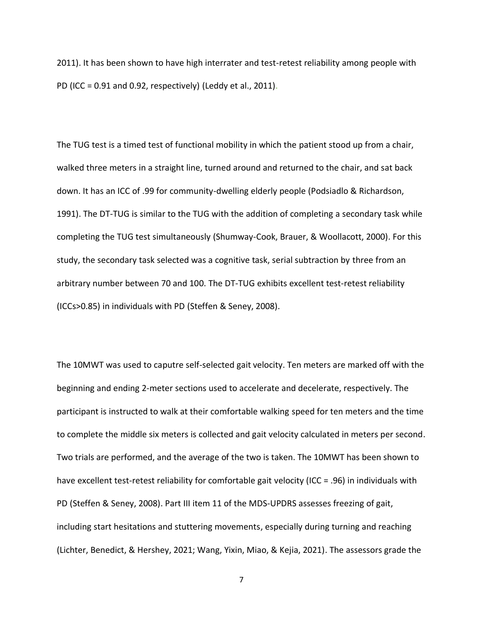2011). It has been shown to have high interrater and test-retest reliability among people with PD (ICC = 0.91 and 0.92, respectively) (Leddy et al., 2011).

The TUG test is a timed test of functional mobility in which the patient stood up from a chair, walked three meters in a straight line, turned around and returned to the chair, and sat back down. It has an ICC of .99 for community-dwelling elderly people (Podsiadlo & Richardson, 1991). The DT-TUG is similar to the TUG with the addition of completing a secondary task while completing the TUG test simultaneously (Shumway-Cook, Brauer, & Woollacott, 2000). For this study, the secondary task selected was a cognitive task, serial subtraction by three from an arbitrary number between 70 and 100. The DT-TUG exhibits excellent test-retest reliability (ICCs>0.85) in individuals with PD (Steffen & Seney, 2008).

The 10MWT was used to caputre self-selected gait velocity. Ten meters are marked off with the beginning and ending 2-meter sections used to accelerate and decelerate, respectively. The participant is instructed to walk at their comfortable walking speed for ten meters and the time to complete the middle six meters is collected and gait velocity calculated in meters per second. Two trials are performed, and the average of the two is taken. The 10MWT has been shown to have excellent test-retest reliability for comfortable gait velocity (ICC = .96) in individuals with PD (Steffen & Seney, 2008). Part III item 11 of the MDS-UPDRS assesses freezing of gait, including start hesitations and stuttering movements, especially during turning and reaching (Lichter, Benedict, & Hershey, 2021; Wang, Yixin, Miao, & Kejia, 2021). The assessors grade the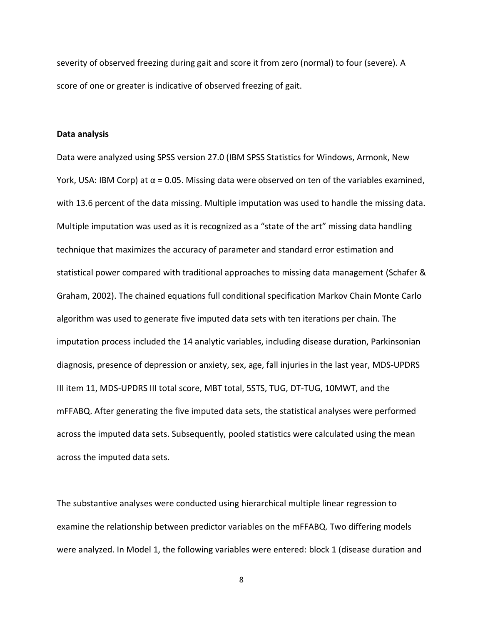severity of observed freezing during gait and score it from zero (normal) to four (severe). A score of one or greater is indicative of observed freezing of gait.

#### **Data analysis**

Data were analyzed using SPSS version 27.0 (IBM SPSS Statistics for Windows, Armonk, New York, USA: IBM Corp) at  $\alpha$  = 0.05. Missing data were observed on ten of the variables examined, with 13.6 percent of the data missing. Multiple imputation was used to handle the missing data. Multiple imputation was used as it is recognized as a "state of the art" missing data handling technique that maximizes the accuracy of parameter and standard error estimation and statistical power compared with traditional approaches to missing data management (Schafer & Graham, 2002). The chained equations full conditional specification Markov Chain Monte Carlo algorithm was used to generate five imputed data sets with ten iterations per chain. The imputation process included the 14 analytic variables, including disease duration, Parkinsonian diagnosis, presence of depression or anxiety, sex, age, fall injuries in the last year, MDS-UPDRS III item 11, MDS-UPDRS III total score, MBT total, 5STS, TUG, DT-TUG, 10MWT, and the mFFABQ. After generating the five imputed data sets, the statistical analyses were performed across the imputed data sets. Subsequently, pooled statistics were calculated using the mean across the imputed data sets.

The substantive analyses were conducted using hierarchical multiple linear regression to examine the relationship between predictor variables on the mFFABQ. Two differing models were analyzed. In Model 1, the following variables were entered: block 1 (disease duration and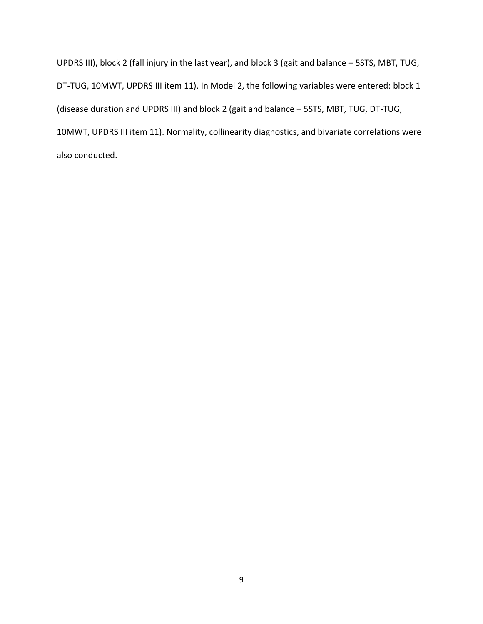UPDRS III), block 2 (fall injury in the last year), and block 3 (gait and balance – 5STS, MBT, TUG, DT-TUG, 10MWT, UPDRS III item 11). In Model 2, the following variables were entered: block 1 (disease duration and UPDRS III) and block 2 (gait and balance – 5STS, MBT, TUG, DT-TUG, 10MWT, UPDRS III item 11). Normality, collinearity diagnostics, and bivariate correlations were also conducted.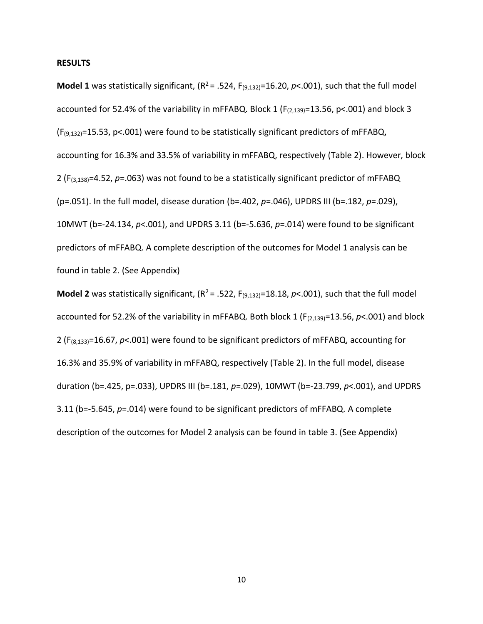#### **RESULTS**

**Model 1** was statistically significant,  $(R^2 = .524, F_{(9,132)} = 16.20, p < .001)$ , such that the full model accounted for 52.4% of the variability in mFFABQ. Block 1 ( $F_{(2,139)}$ =13.56, p<.001) and block 3  $(F_{(9,132)}=15.53, p<.001)$  were found to be statistically significant predictors of mFFABQ, accounting for 16.3% and 33.5% of variability in mFFABQ, respectively (Table 2). However, block 2 (F(3,138)=4.52, *p*=.063) was not found to be a statistically significant predictor of mFFABQ (p=.051). In the full model, disease duration (b=.402, *p*=.046), UPDRS III (b=.182, *p*=.029), 10MWT (b=-24.134, *p*<.001), and UPDRS 3.11 (b=-5.636, *p*=.014) were found to be significant predictors of mFFABQ. A complete description of the outcomes for Model 1 analysis can be found in table 2. (See Appendix)

**Model 2** was statistically significant,  $(R^2 = .522, F_{(9,132)} = 18.18, p < .001)$ , such that the full model accounted for 52.2% of the variability in mFFABQ. Both block 1 (F<sub>(2,139)</sub>=13.56, *p*<.001) and block 2 (F(8,133)=16.67, *p*<.001) were found to be significant predictors of mFFABQ, accounting for 16.3% and 35.9% of variability in mFFABQ, respectively (Table 2). In the full model, disease duration (b=.425, p=.033), UPDRS III (b=.181, *p*=.029), 10MWT (b=-23.799, *p*<.001), and UPDRS 3.11 (b=-5.645, *p*=.014) were found to be significant predictors of mFFABQ. A complete description of the outcomes for Model 2 analysis can be found in table 3. (See Appendix)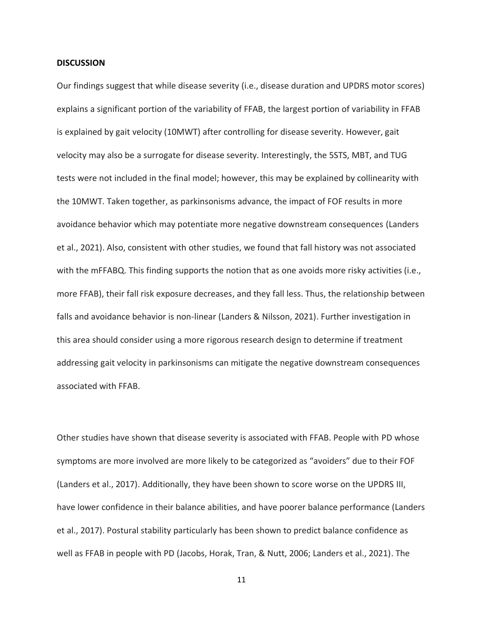#### **DISCUSSION**

Our findings suggest that while disease severity (i.e., disease duration and UPDRS motor scores) explains a significant portion of the variability of FFAB, the largest portion of variability in FFAB is explained by gait velocity (10MWT) after controlling for disease severity. However, gait velocity may also be a surrogate for disease severity. Interestingly, the 5STS, MBT, and TUG tests were not included in the final model; however, this may be explained by collinearity with the 10MWT. Taken together, as parkinsonisms advance, the impact of FOF results in more avoidance behavior which may potentiate more negative downstream consequences (Landers et al., 2021). Also, consistent with other studies, we found that fall history was not associated with the mFFABQ. This finding supports the notion that as one avoids more risky activities (i.e., more FFAB), their fall risk exposure decreases, and they fall less. Thus, the relationship between falls and avoidance behavior is non-linear (Landers & Nilsson, 2021). Further investigation in this area should consider using a more rigorous research design to determine if treatment addressing gait velocity in parkinsonisms can mitigate the negative downstream consequences associated with FFAB.

Other studies have shown that disease severity is associated with FFAB. People with PD whose symptoms are more involved are more likely to be categorized as "avoiders" due to their FOF (Landers et al., 2017). Additionally, they have been shown to score worse on the UPDRS III, have lower confidence in their balance abilities, and have poorer balance performance (Landers et al., 2017). Postural stability particularly has been shown to predict balance confidence as well as FFAB in people with PD (Jacobs, Horak, Tran, & Nutt, 2006; Landers et al., 2021). The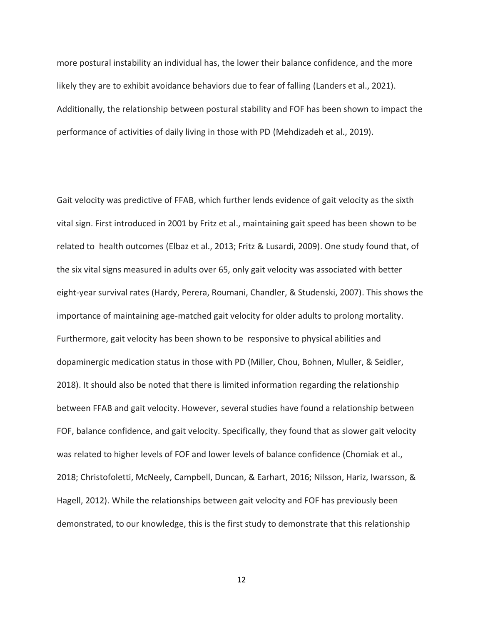more postural instability an individual has, the lower their balance confidence, and the more likely they are to exhibit avoidance behaviors due to fear of falling (Landers et al., 2021). Additionally, the relationship between postural stability and FOF has been shown to impact the performance of activities of daily living in those with PD (Mehdizadeh et al., 2019).

Gait velocity was predictive of FFAB, which further lends evidence of gait velocity as the sixth vital sign. First introduced in 2001 by Fritz et al., maintaining gait speed has been shown to be related to health outcomes (Elbaz et al., 2013; Fritz & Lusardi, 2009). One study found that, of the six vital signs measured in adults over 65, only gait velocity was associated with better eight-year survival rates (Hardy, Perera, Roumani, Chandler, & Studenski, 2007). This shows the importance of maintaining age-matched gait velocity for older adults to prolong mortality. Furthermore, gait velocity has been shown to be responsive to physical abilities and dopaminergic medication status in those with PD (Miller, Chou, Bohnen, Muller, & Seidler, 2018). It should also be noted that there is limited information regarding the relationship between FFAB and gait velocity. However, several studies have found a relationship between FOF, balance confidence, and gait velocity. Specifically, they found that as slower gait velocity was related to higher levels of FOF and lower levels of balance confidence (Chomiak et al., 2018; Christofoletti, McNeely, Campbell, Duncan, & Earhart, 2016; Nilsson, Hariz, Iwarsson, & Hagell, 2012). While the relationships between gait velocity and FOF has previously been demonstrated, to our knowledge, this is the first study to demonstrate that this relationship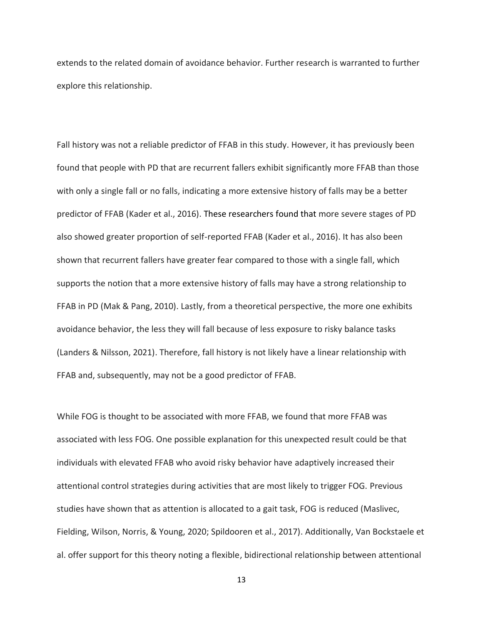extends to the related domain of avoidance behavior. Further research is warranted to further explore this relationship.

Fall history was not a reliable predictor of FFAB in this study. However, it has previously been found that people with PD that are recurrent fallers exhibit significantly more FFAB than those with only a single fall or no falls, indicating a more extensive history of falls may be a better predictor of FFAB (Kader et al., 2016). These researchers found that more severe stages of PD also showed greater proportion of self-reported FFAB (Kader et al., 2016). It has also been shown that recurrent fallers have greater fear compared to those with a single fall, which supports the notion that a more extensive history of falls may have a strong relationship to FFAB in PD (Mak & Pang, 2010). Lastly, from a theoretical perspective, the more one exhibits avoidance behavior, the less they will fall because of less exposure to risky balance tasks (Landers & Nilsson, 2021). Therefore, fall history is not likely have a linear relationship with FFAB and, subsequently, may not be a good predictor of FFAB.

While FOG is thought to be associated with more FFAB, we found that more FFAB was associated with less FOG. One possible explanation for this unexpected result could be that individuals with elevated FFAB who avoid risky behavior have adaptively increased their attentional control strategies during activities that are most likely to trigger FOG. Previous studies have shown that as attention is allocated to a gait task, FOG is reduced (Maslivec, Fielding, Wilson, Norris, & Young, 2020; Spildooren et al., 2017). Additionally, Van Bockstaele et al. offer support for this theory noting a flexible, bidirectional relationship between attentional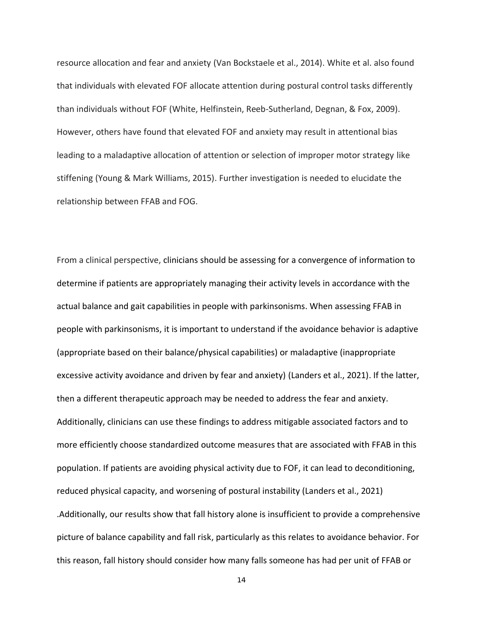resource allocation and fear and anxiety (Van Bockstaele et al., 2014). White et al. also found that individuals with elevated FOF allocate attention during postural control tasks differently than individuals without FOF (White, Helfinstein, Reeb-Sutherland, Degnan, & Fox, 2009). However, others have found that elevated FOF and anxiety may result in attentional bias leading to a maladaptive allocation of attention or selection of improper motor strategy like stiffening (Young & Mark Williams, 2015). Further investigation is needed to elucidate the relationship between FFAB and FOG.

From a clinical perspective, clinicians should be assessing for a convergence of information to determine if patients are appropriately managing their activity levels in accordance with the actual balance and gait capabilities in people with parkinsonisms. When assessing FFAB in people with parkinsonisms, it is important to understand if the avoidance behavior is adaptive (appropriate based on their balance/physical capabilities) or maladaptive (inappropriate excessive activity avoidance and driven by fear and anxiety) (Landers et al., 2021). If the latter, then a different therapeutic approach may be needed to address the fear and anxiety. Additionally, clinicians can use these findings to address mitigable associated factors and to more efficiently choose standardized outcome measures that are associated with FFAB in this population. If patients are avoiding physical activity due to FOF, it can lead to deconditioning, reduced physical capacity, and worsening of postural instability (Landers et al., 2021) .Additionally, our results show that fall history alone is insufficient to provide a comprehensive picture of balance capability and fall risk, particularly as this relates to avoidance behavior. For this reason, fall history should consider how many falls someone has had per unit of FFAB or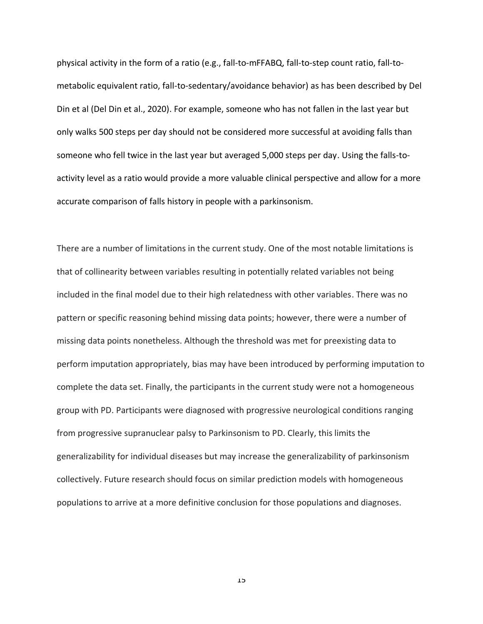physical activity in the form of a ratio (e.g., fall-to-mFFABQ, fall-to-step count ratio, fall-tometabolic equivalent ratio, fall-to-sedentary/avoidance behavior) as has been described by Del Din et al (Del Din et al., 2020). For example, someone who has not fallen in the last year but only walks 500 steps per day should not be considered more successful at avoiding falls than someone who fell twice in the last year but averaged 5,000 steps per day. Using the falls-toactivity level as a ratio would provide a more valuable clinical perspective and allow for a more accurate comparison of falls history in people with a parkinsonism.

There are a number of limitations in the current study. One of the most notable limitations is that of collinearity between variables resulting in potentially related variables not being included in the final model due to their high relatedness with other variables. There was no pattern or specific reasoning behind missing data points; however, there were a number of missing data points nonetheless. Although the threshold was met for preexisting data to perform imputation appropriately, bias may have been introduced by performing imputation to complete the data set. Finally, the participants in the current study were not a homogeneous group with PD. Participants were diagnosed with progressive neurological conditions ranging from progressive supranuclear palsy to Parkinsonism to PD. Clearly, this limits the generalizability for individual diseases but may increase the generalizability of parkinsonism collectively. Future research should focus on similar prediction models with homogeneous populations to arrive at a more definitive conclusion for those populations and diagnoses.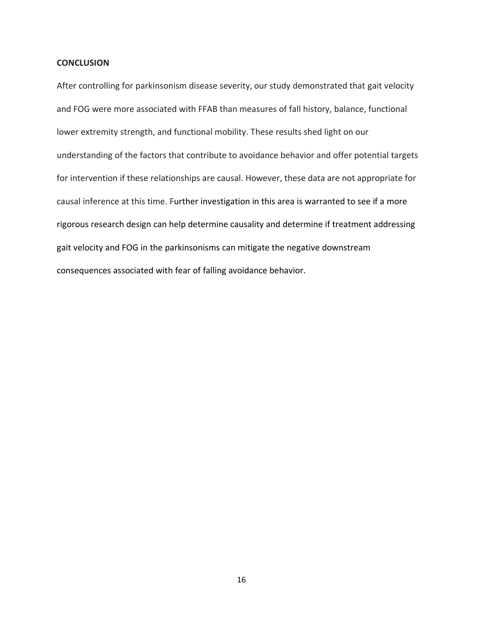#### **CONCLUSION**

After controlling for parkinsonism disease severity, our study demonstrated that gait velocity and FOG were more associated with FFAB than measures of fall history, balance, functional lower extremity strength, and functional mobility. These results shed light on our understanding of the factors that contribute to avoidance behavior and offer potential targets for intervention if these relationships are causal. However, these data are not appropriate for causal inference at this time. Further investigation in this area is warranted to see if a more rigorous research design can help determine causality and determine if treatment addressing gait velocity and FOG in the parkinsonisms can mitigate the negative downstream consequences associated with fear of falling avoidance behavior.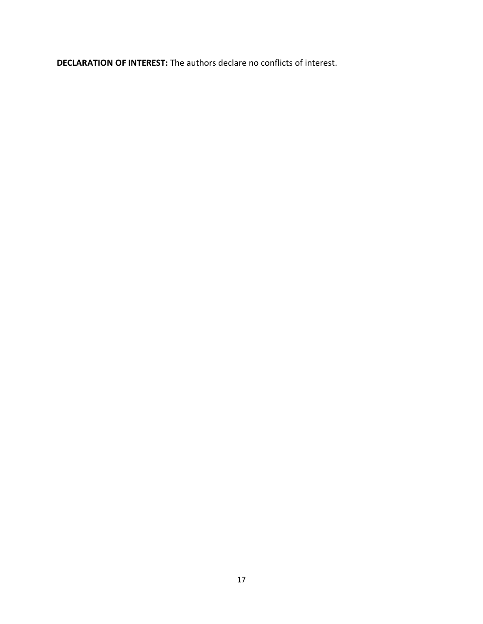**DECLARATION OF INTEREST:** The authors declare no conflicts of interest.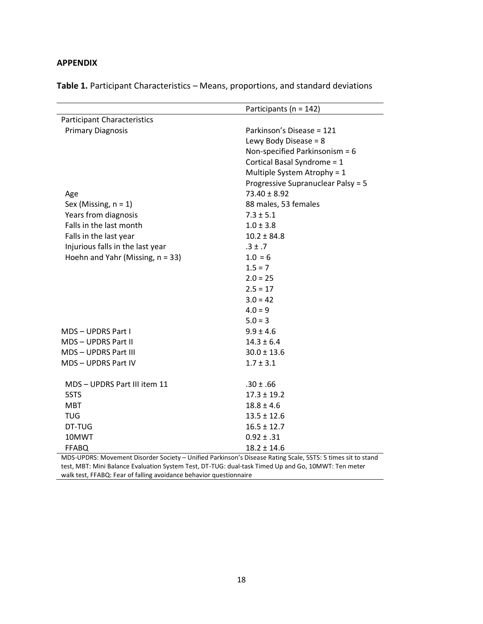#### **APPENDIX**

**Table 1.** Participant Characteristics – Means, proportions, and standard deviations

|                                                                                                             | Participants ( $n = 142$ )         |  |  |
|-------------------------------------------------------------------------------------------------------------|------------------------------------|--|--|
| <b>Participant Characteristics</b>                                                                          |                                    |  |  |
| <b>Primary Diagnosis</b>                                                                                    | Parkinson's Disease = 121          |  |  |
|                                                                                                             | Lewy Body Disease = 8              |  |  |
|                                                                                                             | Non-specified Parkinsonism = $6$   |  |  |
|                                                                                                             | Cortical Basal Syndrome = 1        |  |  |
|                                                                                                             | Multiple System Atrophy = 1        |  |  |
|                                                                                                             | Progressive Supranuclear Palsy = 5 |  |  |
| Age                                                                                                         | $73.40 \pm 8.92$                   |  |  |
| Sex (Missing, $n = 1$ )                                                                                     | 88 males, 53 females               |  |  |
| Years from diagnosis                                                                                        | $7.3 \pm 5.1$                      |  |  |
| Falls in the last month                                                                                     | $1.0 \pm 3.8$                      |  |  |
| Falls in the last year                                                                                      | $10.2 \pm 84.8$                    |  |  |
| Injurious falls in the last year                                                                            | $.3 \pm .7$                        |  |  |
| Hoehn and Yahr (Missing, $n = 33$ )                                                                         | $1.0 = 6$                          |  |  |
|                                                                                                             | $1.5 = 7$                          |  |  |
|                                                                                                             | $2.0 = 25$                         |  |  |
|                                                                                                             | $2.5 = 17$                         |  |  |
|                                                                                                             | $3.0 = 42$                         |  |  |
|                                                                                                             | $4.0 = 9$                          |  |  |
|                                                                                                             | $5.0 = 3$                          |  |  |
| MDS-UPDRS Part I                                                                                            | $9.9 \pm 4.6$                      |  |  |
| <b>MDS-UPDRS Part II</b>                                                                                    | $14.3 \pm 6.4$                     |  |  |
| MDS-UPDRS Part III                                                                                          | $30.0 \pm 13.6$                    |  |  |
| MDS-UPDRS Part IV                                                                                           | $1.7 \pm 3.1$                      |  |  |
|                                                                                                             |                                    |  |  |
| MDS - UPDRS Part III item 11                                                                                | $.30 \pm .66$                      |  |  |
| 5STS                                                                                                        | $17.3 \pm 19.2$                    |  |  |
| <b>MBT</b>                                                                                                  | $18.8 \pm 4.6$                     |  |  |
| <b>TUG</b>                                                                                                  | $13.5 \pm 12.6$                    |  |  |
| DT-TUG                                                                                                      | $16.5 \pm 12.7$                    |  |  |
| 10MWT                                                                                                       | $0.92 \pm .31$                     |  |  |
| <b>FFABQ</b>                                                                                                | $18.2 \pm 14.6$                    |  |  |
| MDS-UPDRS: Movement Disorder Society - Unified Parkinson's Disease Rating Scale, 5STS: 5 times sit to stand |                                    |  |  |

test, MBT: Mini Balance Evaluation System Test, DT-TUG: dual-task Timed Up and Go, 10MWT: Ten meter walk test, FFABQ: Fear of falling avoidance behavior questionnaire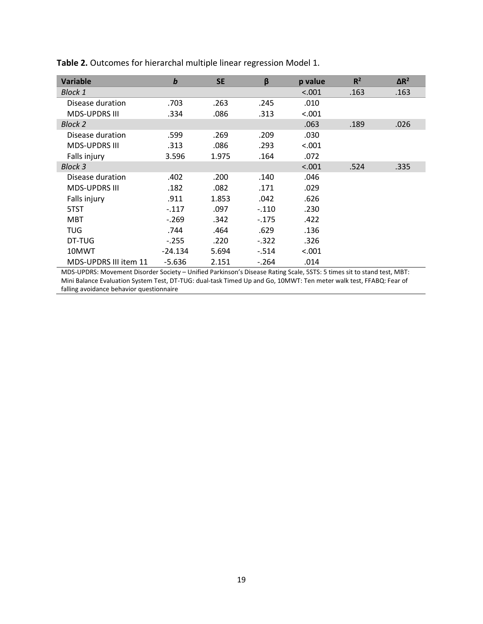| <b>Variable</b>                                                                                                        | b         | <b>SE</b> | β       | p value | $R^2$ | $\Delta R^2$ |
|------------------------------------------------------------------------------------------------------------------------|-----------|-----------|---------|---------|-------|--------------|
| <b>Block 1</b>                                                                                                         |           |           |         | < .001  | .163  | .163         |
| Disease duration                                                                                                       | .703      | .263      | .245    | .010    |       |              |
| <b>MDS-UPDRS III</b>                                                                                                   | .334      | .086      | .313    | < .001  |       |              |
| Block 2                                                                                                                |           |           |         | .063    | .189  | .026         |
| Disease duration                                                                                                       | .599      | .269      | .209    | .030    |       |              |
| <b>MDS-UPDRS III</b>                                                                                                   | .313      | .086      | .293    | < .001  |       |              |
| Falls injury                                                                                                           | 3.596     | 1.975     | .164    | .072    |       |              |
| <b>Block 3</b>                                                                                                         |           |           |         | < .001  | .524  | .335         |
| Disease duration                                                                                                       | .402      | .200      | .140    | .046    |       |              |
| <b>MDS-UPDRS III</b>                                                                                                   | .182      | .082      | .171    | .029    |       |              |
| Falls injury                                                                                                           | .911      | 1.853     | .042    | .626    |       |              |
| 5TST                                                                                                                   | $-.117$   | .097      | $-.110$ | .230    |       |              |
| MBT                                                                                                                    | $-.269$   | .342      | $-175$  | .422    |       |              |
| TUG                                                                                                                    | .744      | .464      | .629    | .136    |       |              |
| DT-TUG                                                                                                                 | $-.255$   | .220      | $-.322$ | .326    |       |              |
| 10MWT                                                                                                                  | $-24.134$ | 5.694     | $-514$  | < .001  |       |              |
| MDS-UPDRS III item 11                                                                                                  | $-5.636$  | 2.151     | $-.264$ | .014    |       |              |
| MDS-UPDRS: Movement Disorder Society - Unified Parkinson's Disease Rating Scale, 5STS: 5 times sit to stand test, MBT: |           |           |         |         |       |              |
| Mini Balance Evaluation System Test, DT-TUG: dual-task Timed Up and Go, 10MWT: Ten meter walk test, FFABQ: Fear of     |           |           |         |         |       |              |

**Table 2.** Outcomes for hierarchal multiple linear regression Model 1.

falling avoidance behavior questionnaire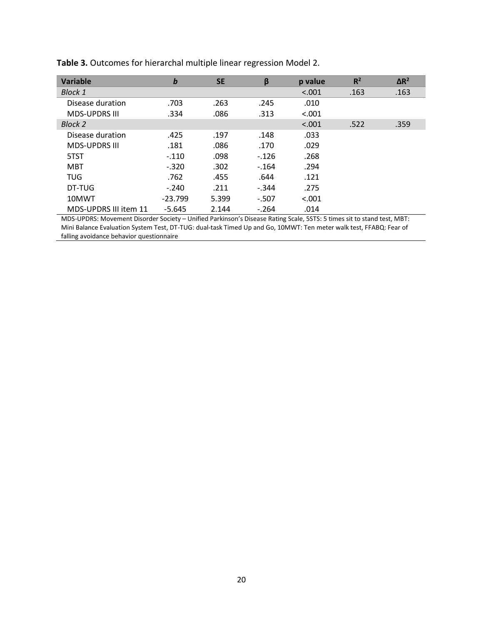| Variable              | $\boldsymbol{b}$ | <b>SE</b> | β       | p value | R <sup>2</sup> | $\Delta R^2$ |
|-----------------------|------------------|-----------|---------|---------|----------------|--------------|
| <b>Block 1</b>        |                  |           |         | < .001  | .163           | .163         |
| Disease duration      | .703             | .263      | .245    | .010    |                |              |
| <b>MDS-UPDRS III</b>  | .334             | .086      | .313    | < .001  |                |              |
| Block 2               |                  |           |         | < .001  | .522           | .359         |
| Disease duration      | .425             | .197      | .148    | .033    |                |              |
| <b>MDS-UPDRS III</b>  | .181             | .086      | .170    | .029    |                |              |
| 5TST                  | $-.110$          | .098      | $-126$  | .268    |                |              |
| <b>MBT</b>            | $-.320$          | .302      | $-164$  | .294    |                |              |
| TUG                   | .762             | .455      | .644    | .121    |                |              |
| DT-TUG                | $-.240$          | .211      | $-.344$ | .275    |                |              |
| 10MWT                 | $-23.799$        | 5.399     | $-.507$ | < .001  |                |              |
| MDS-UPDRS III item 11 | $-5.645$         | 2.144     | $-.264$ | .014    |                |              |

**Table 3.** Outcomes for hierarchal multiple linear regression Model 2.

MDS-UPDRS: Movement Disorder Society – Unified Parkinson's Disease Rating Scale, 5STS: 5 times sit to stand test, MBT: Mini Balance Evaluation System Test, DT-TUG: dual-task Timed Up and Go, 10MWT: Ten meter walk test, FFABQ: Fear of falling avoidance behavior questionnaire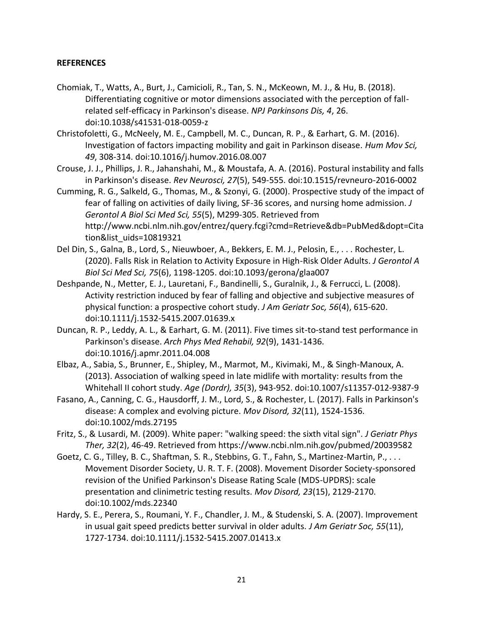#### **REFERENCES**

- Chomiak, T., Watts, A., Burt, J., Camicioli, R., Tan, S. N., McKeown, M. J., & Hu, B. (2018). Differentiating cognitive or motor dimensions associated with the perception of fallrelated self-efficacy in Parkinson's disease. *NPJ Parkinsons Dis, 4*, 26. doi:10.1038/s41531-018-0059-z
- Christofoletti, G., McNeely, M. E., Campbell, M. C., Duncan, R. P., & Earhart, G. M. (2016). Investigation of factors impacting mobility and gait in Parkinson disease. *Hum Mov Sci, 49*, 308-314. doi:10.1016/j.humov.2016.08.007
- Crouse, J. J., Phillips, J. R., Jahanshahi, M., & Moustafa, A. A. (2016). Postural instability and falls in Parkinson's disease. *Rev Neurosci, 27*(5), 549-555. doi:10.1515/revneuro-2016-0002
- Cumming, R. G., Salkeld, G., Thomas, M., & Szonyi, G. (2000). Prospective study of the impact of fear of falling on activities of daily living, SF-36 scores, and nursing home admission. *J Gerontol A Biol Sci Med Sci, 55*(5), M299-305. Retrieved from http://www.ncbi.nlm.nih.gov/entrez/query.fcgi?cmd=Retrieve&db=PubMed&dopt=Cita tion&list\_uids=10819321
- Del Din, S., Galna, B., Lord, S., Nieuwboer, A., Bekkers, E. M. J., Pelosin, E., . . . Rochester, L. (2020). Falls Risk in Relation to Activity Exposure in High-Risk Older Adults. *J Gerontol A Biol Sci Med Sci, 75*(6), 1198-1205. doi:10.1093/gerona/glaa007
- Deshpande, N., Metter, E. J., Lauretani, F., Bandinelli, S., Guralnik, J., & Ferrucci, L. (2008). Activity restriction induced by fear of falling and objective and subjective measures of physical function: a prospective cohort study. *J Am Geriatr Soc, 56*(4), 615-620. doi:10.1111/j.1532-5415.2007.01639.x
- Duncan, R. P., Leddy, A. L., & Earhart, G. M. (2011). Five times sit-to-stand test performance in Parkinson's disease. *Arch Phys Med Rehabil, 92*(9), 1431-1436. doi:10.1016/j.apmr.2011.04.008
- Elbaz, A., Sabia, S., Brunner, E., Shipley, M., Marmot, M., Kivimaki, M., & Singh-Manoux, A. (2013). Association of walking speed in late midlife with mortality: results from the Whitehall II cohort study. *Age (Dordr), 35*(3), 943-952. doi:10.1007/s11357-012-9387-9
- Fasano, A., Canning, C. G., Hausdorff, J. M., Lord, S., & Rochester, L. (2017). Falls in Parkinson's disease: A complex and evolving picture. *Mov Disord, 32*(11), 1524-1536. doi:10.1002/mds.27195
- Fritz, S., & Lusardi, M. (2009). White paper: "walking speed: the sixth vital sign". *J Geriatr Phys Ther, 32*(2), 46-49. Retrieved from https://www.ncbi.nlm.nih.gov/pubmed/20039582
- Goetz, C. G., Tilley, B. C., Shaftman, S. R., Stebbins, G. T., Fahn, S., Martinez-Martin, P., . . . Movement Disorder Society, U. R. T. F. (2008). Movement Disorder Society-sponsored revision of the Unified Parkinson's Disease Rating Scale (MDS-UPDRS): scale presentation and clinimetric testing results. *Mov Disord, 23*(15), 2129-2170. doi:10.1002/mds.22340
- Hardy, S. E., Perera, S., Roumani, Y. F., Chandler, J. M., & Studenski, S. A. (2007). Improvement in usual gait speed predicts better survival in older adults. *J Am Geriatr Soc, 55*(11), 1727-1734. doi:10.1111/j.1532-5415.2007.01413.x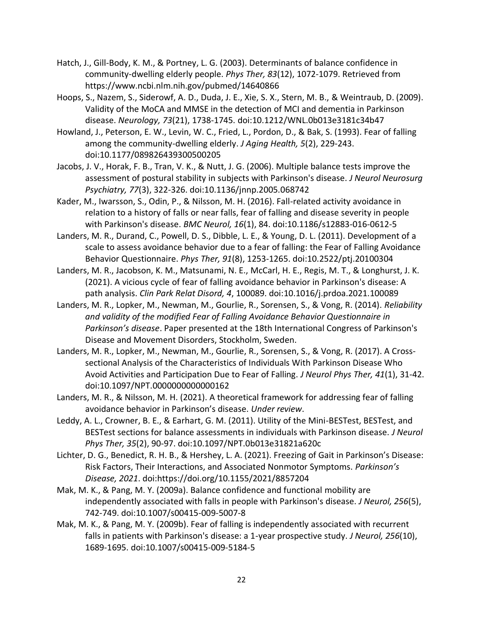- Hatch, J., Gill-Body, K. M., & Portney, L. G. (2003). Determinants of balance confidence in community-dwelling elderly people. *Phys Ther, 83*(12), 1072-1079. Retrieved from https://www.ncbi.nlm.nih.gov/pubmed/14640866
- Hoops, S., Nazem, S., Siderowf, A. D., Duda, J. E., Xie, S. X., Stern, M. B., & Weintraub, D. (2009). Validity of the MoCA and MMSE in the detection of MCI and dementia in Parkinson disease. *Neurology, 73*(21), 1738-1745. doi:10.1212/WNL.0b013e3181c34b47
- Howland, J., Peterson, E. W., Levin, W. C., Fried, L., Pordon, D., & Bak, S. (1993). Fear of falling among the community-dwelling elderly. *J Aging Health, 5*(2), 229-243. doi:10.1177/089826439300500205
- Jacobs, J. V., Horak, F. B., Tran, V. K., & Nutt, J. G. (2006). Multiple balance tests improve the assessment of postural stability in subjects with Parkinson's disease. *J Neurol Neurosurg Psychiatry, 77*(3), 322-326. doi:10.1136/jnnp.2005.068742
- Kader, M., Iwarsson, S., Odin, P., & Nilsson, M. H. (2016). Fall-related activity avoidance in relation to a history of falls or near falls, fear of falling and disease severity in people with Parkinson's disease. *BMC Neurol, 16*(1), 84. doi:10.1186/s12883-016-0612-5
- Landers, M. R., Durand, C., Powell, D. S., Dibble, L. E., & Young, D. L. (2011). Development of a scale to assess avoidance behavior due to a fear of falling: the Fear of Falling Avoidance Behavior Questionnaire. *Phys Ther, 91*(8), 1253-1265. doi:10.2522/ptj.20100304
- Landers, M. R., Jacobson, K. M., Matsunami, N. E., McCarl, H. E., Regis, M. T., & Longhurst, J. K. (2021). A vicious cycle of fear of falling avoidance behavior in Parkinson's disease: A path analysis. *Clin Park Relat Disord, 4*, 100089. doi:10.1016/j.prdoa.2021.100089
- Landers, M. R., Lopker, M., Newman, M., Gourlie, R., Sorensen, S., & Vong, R. (2014). *Reliability and validity of the modified Fear of Falling Avoidance Behavior Questionnaire in Parkinson's disease*. Paper presented at the 18th International Congress of Parkinson's Disease and Movement Disorders, Stockholm, Sweden.
- Landers, M. R., Lopker, M., Newman, M., Gourlie, R., Sorensen, S., & Vong, R. (2017). A Crosssectional Analysis of the Characteristics of Individuals With Parkinson Disease Who Avoid Activities and Participation Due to Fear of Falling. *J Neurol Phys Ther, 41*(1), 31-42. doi:10.1097/NPT.0000000000000162
- Landers, M. R., & Nilsson, M. H. (2021). A theoretical framework for addressing fear of falling avoidance behavior in Parkinson's disease. *Under review*.
- Leddy, A. L., Crowner, B. E., & Earhart, G. M. (2011). Utility of the Mini-BESTest, BESTest, and BESTest sections for balance assessments in individuals with Parkinson disease. *J Neurol Phys Ther, 35*(2), 90-97. doi:10.1097/NPT.0b013e31821a620c
- Lichter, D. G., Benedict, R. H. B., & Hershey, L. A. (2021). Freezing of Gait in Parkinson's Disease: Risk Factors, Their Interactions, and Associated Nonmotor Symptoms. *Parkinson's Disease, 2021*. doi:https://doi.org/10.1155/2021/8857204
- Mak, M. K., & Pang, M. Y. (2009a). Balance confidence and functional mobility are independently associated with falls in people with Parkinson's disease. *J Neurol, 256*(5), 742-749. doi:10.1007/s00415-009-5007-8
- Mak, M. K., & Pang, M. Y. (2009b). Fear of falling is independently associated with recurrent falls in patients with Parkinson's disease: a 1-year prospective study. *J Neurol, 256*(10), 1689-1695. doi:10.1007/s00415-009-5184-5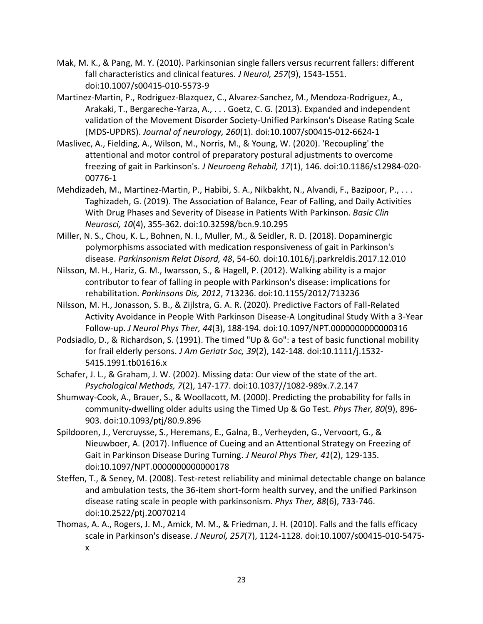- Mak, M. K., & Pang, M. Y. (2010). Parkinsonian single fallers versus recurrent fallers: different fall characteristics and clinical features. *J Neurol, 257*(9), 1543-1551. doi:10.1007/s00415-010-5573-9
- Martinez-Martin, P., Rodriguez-Blazquez, C., Alvarez-Sanchez, M., Mendoza-Rodriguez, A., Arakaki, T., Bergareche-Yarza, A., . . . Goetz, C. G. (2013). Expanded and independent validation of the Movement Disorder Society-Unified Parkinson's Disease Rating Scale (MDS-UPDRS). *Journal of neurology, 260*(1). doi:10.1007/s00415-012-6624-1
- Maslivec, A., Fielding, A., Wilson, M., Norris, M., & Young, W. (2020). 'Recoupling' the attentional and motor control of preparatory postural adjustments to overcome freezing of gait in Parkinson's. *J Neuroeng Rehabil, 17*(1), 146. doi:10.1186/s12984-020- 00776-1
- Mehdizadeh, M., Martinez-Martin, P., Habibi, S. A., Nikbakht, N., Alvandi, F., Bazipoor, P., . . . Taghizadeh, G. (2019). The Association of Balance, Fear of Falling, and Daily Activities With Drug Phases and Severity of Disease in Patients With Parkinson. *Basic Clin Neurosci, 10*(4), 355-362. doi:10.32598/bcn.9.10.295
- Miller, N. S., Chou, K. L., Bohnen, N. I., Muller, M., & Seidler, R. D. (2018). Dopaminergic polymorphisms associated with medication responsiveness of gait in Parkinson's disease. *Parkinsonism Relat Disord, 48*, 54-60. doi:10.1016/j.parkreldis.2017.12.010
- Nilsson, M. H., Hariz, G. M., Iwarsson, S., & Hagell, P. (2012). Walking ability is a major contributor to fear of falling in people with Parkinson's disease: implications for rehabilitation. *Parkinsons Dis, 2012*, 713236. doi:10.1155/2012/713236
- Nilsson, M. H., Jonasson, S. B., & Zijlstra, G. A. R. (2020). Predictive Factors of Fall-Related Activity Avoidance in People With Parkinson Disease-A Longitudinal Study With a 3-Year Follow-up. *J Neurol Phys Ther, 44*(3), 188-194. doi:10.1097/NPT.0000000000000316
- Podsiadlo, D., & Richardson, S. (1991). The timed "Up & Go": a test of basic functional mobility for frail elderly persons. *J Am Geriatr Soc, 39*(2), 142-148. doi:10.1111/j.1532- 5415.1991.tb01616.x
- Schafer, J. L., & Graham, J. W. (2002). Missing data: Our view of the state of the art. *Psychological Methods, 7*(2), 147-177. doi:10.1037//1082-989x.7.2.147
- Shumway-Cook, A., Brauer, S., & Woollacott, M. (2000). Predicting the probability for falls in community-dwelling older adults using the Timed Up & Go Test. *Phys Ther, 80*(9), 896- 903. doi:10.1093/ptj/80.9.896
- Spildooren, J., Vercruysse, S., Heremans, E., Galna, B., Verheyden, G., Vervoort, G., & Nieuwboer, A. (2017). Influence of Cueing and an Attentional Strategy on Freezing of Gait in Parkinson Disease During Turning. *J Neurol Phys Ther, 41*(2), 129-135. doi:10.1097/NPT.0000000000000178
- Steffen, T., & Seney, M. (2008). Test-retest reliability and minimal detectable change on balance and ambulation tests, the 36-item short-form health survey, and the unified Parkinson disease rating scale in people with parkinsonism. *Phys Ther, 88*(6), 733-746. doi:10.2522/ptj.20070214
- Thomas, A. A., Rogers, J. M., Amick, M. M., & Friedman, J. H. (2010). Falls and the falls efficacy scale in Parkinson's disease. *J Neurol, 257*(7), 1124-1128. doi:10.1007/s00415-010-5475 x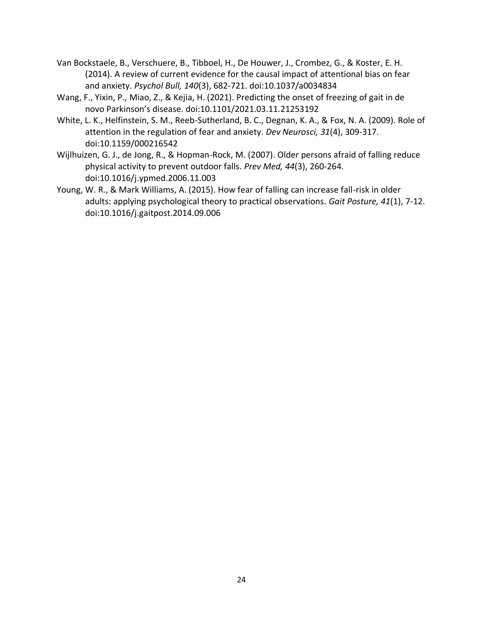- Van Bockstaele, B., Verschuere, B., Tibboel, H., De Houwer, J., Crombez, G., & Koster, E. H. (2014). A review of current evidence for the causal impact of attentional bias on fear and anxiety. *Psychol Bull, 140*(3), 682-721. doi:10.1037/a0034834
- Wang, F., Yixin, P., Miao, Z., & Kejia, H. (2021). Predicting the onset of freezing of gait in de novo Parkinson's disease. doi:10.1101/2021.03.11.21253192
- White, L. K., Helfinstein, S. M., Reeb-Sutherland, B. C., Degnan, K. A., & Fox, N. A. (2009). Role of attention in the regulation of fear and anxiety. *Dev Neurosci, 31*(4), 309-317. doi:10.1159/000216542
- Wijlhuizen, G. J., de Jong, R., & Hopman-Rock, M. (2007). Older persons afraid of falling reduce physical activity to prevent outdoor falls. *Prev Med, 44*(3), 260-264. doi:10.1016/j.ypmed.2006.11.003
- Young, W. R., & Mark Williams, A. (2015). How fear of falling can increase fall-risk in older adults: applying psychological theory to practical observations. *Gait Posture, 41*(1), 7-12. doi:10.1016/j.gaitpost.2014.09.006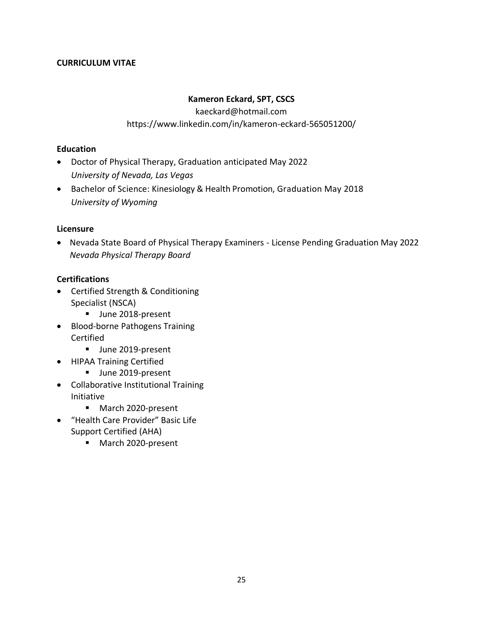#### **CURRICULUM VITAE**

### **Kameron Eckard, SPT, CSCS**

kaeckard@hotmail.com

#### https://www.linkedin.com/in/kameron-eckard-565051200/

#### **Education**

- Doctor of Physical Therapy, Graduation anticipated May 2022 *University of Nevada, Las Vegas*
- Bachelor of Science: Kinesiology & Health Promotion, Graduation May 2018 *University of Wyoming*

#### **Licensure**

• Nevada State Board of Physical Therapy Examiners - License Pending Graduation May 2022 *Nevada Physical Therapy Board*

#### **Certifications**

- Certified Strength & Conditioning Specialist (NSCA)
	- **■** June 2018-present
- Blood-borne Pathogens Training Certified
	- **■** June 2019-present
- HIPAA Training Certified
	- **■** June 2019-present
- Collaborative Institutional Training Initiative
	- March 2020-present
- "Health Care Provider" Basic Life Support Certified (AHA)
	- March 2020-present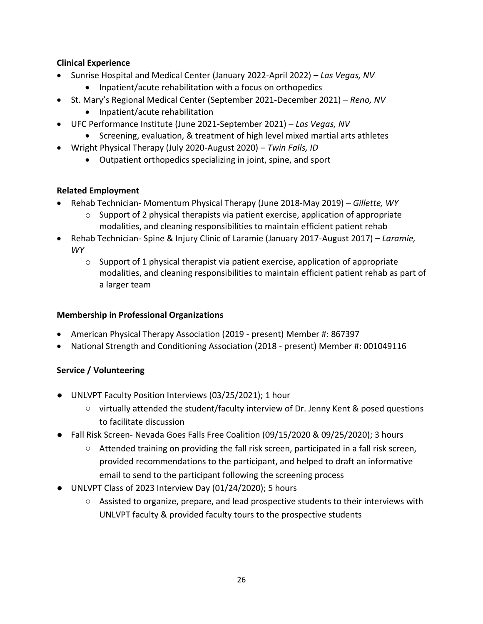# **Clinical Experience**

- Sunrise Hospital and Medical Center (January 2022-April 2022) *Las Vegas, NV*
	- Inpatient/acute rehabilitation with a focus on orthopedics
- St. Mary's Regional Medical Center (September 2021-December 2021) *Reno, NV*
	- Inpatient/acute rehabilitation
- UFC Performance Institute (June 2021-September 2021) *Las Vegas, NV*
	- Screening, evaluation, & treatment of high level mixed martial arts athletes
- Wright Physical Therapy (July 2020-August 2020) *Twin Falls, ID*
	- Outpatient orthopedics specializing in joint, spine, and sport

# **Related Employment**

- Rehab Technician- Momentum Physical Therapy (June 2018-May 2019) *Gillette, WY*
	- $\circ$  Support of 2 physical therapists via patient exercise, application of appropriate modalities, and cleaning responsibilities to maintain efficient patient rehab
- Rehab Technician- Spine & Injury Clinic of Laramie (January 2017-August 2017) *Laramie, WY*
	- $\circ$  Support of 1 physical therapist via patient exercise, application of appropriate modalities, and cleaning responsibilities to maintain efficient patient rehab as part of a larger team

# **Membership in Professional Organizations**

- American Physical Therapy Association (2019 present) Member #: 867397
- National Strength and Conditioning Association (2018 present) Member #: 001049116

# **Service / Volunteering**

- UNLVPT Faculty Position Interviews (03/25/2021); 1 hour
	- virtually attended the student/faculty interview of Dr. Jenny Kent & posed questions to facilitate discussion
- Fall Risk Screen- Nevada Goes Falls Free Coalition (09/15/2020 & 09/25/2020); 3 hours
	- Attended training on providing the fall risk screen, participated in a fall risk screen, provided recommendations to the participant, and helped to draft an informative email to send to the participant following the screening process
- UNLVPT Class of 2023 Interview Day (01/24/2020); 5 hours
	- Assisted to organize, prepare, and lead prospective students to their interviews with UNLVPT faculty & provided faculty tours to the prospective students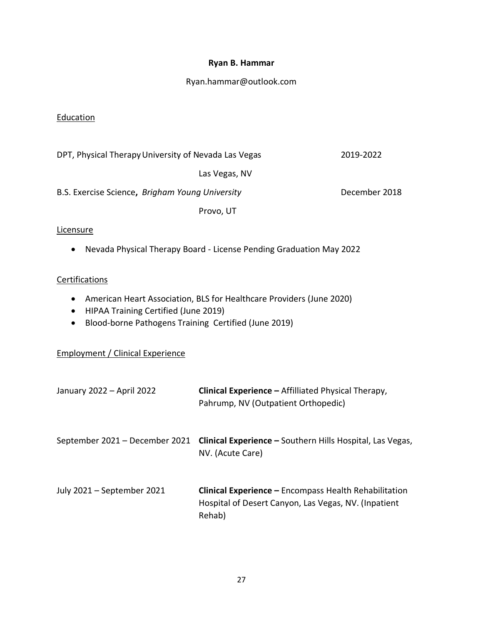#### **Ryan B. Hammar**

#### Ryan.hammar@outlook.com

#### Education

|  | DPT, Physical Therapy University of Nevada Las Vegas |  |  |
|--|------------------------------------------------------|--|--|
|  |                                                      |  |  |

Las Vegas, NV

DPT, Physical TherapyUniversity of Nevada Las Vegas 2019-2022

B.S. Exercise Science, *Brigham Young University* **December 2018** 

Provo, UT

#### Licensure

• Nevada Physical Therapy Board - License Pending Graduation May 2022

#### **Certifications**

- American Heart Association, BLS for Healthcare Providers (June 2020)
- HIPAA Training Certified (June 2019)
- Blood-borne Pathogens Training Certified (June 2019)

# Employment / Clinical Experience

| January 2022 - April 2022      | Clinical Experience - Affilliated Physical Therapy,<br>Pahrump, NV (Outpatient Orthopedic)                                     |
|--------------------------------|--------------------------------------------------------------------------------------------------------------------------------|
| September 2021 – December 2021 | <b>Clinical Experience –</b> Southern Hills Hospital, Las Vegas,<br>NV. (Acute Care)                                           |
| July 2021 - September 2021     | <b>Clinical Experience - Encompass Health Rehabilitation</b><br>Hospital of Desert Canyon, Las Vegas, NV. (Inpatient<br>Rehab) |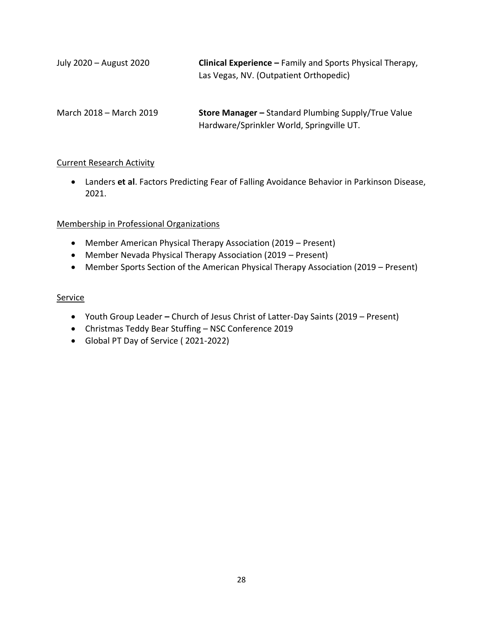| July 2020 - August 2020 | <b>Clinical Experience - Family and Sports Physical Therapy,</b><br>Las Vegas, NV. (Outpatient Orthopedic) |
|-------------------------|------------------------------------------------------------------------------------------------------------|
| March 2018 – March 2019 | <b>Store Manager - Standard Plumbing Supply/True Value</b><br>Hardware/Sprinkler World, Springville UT.    |

#### Current Research Activity

• Landers **et al**. Factors Predicting Fear of Falling Avoidance Behavior in Parkinson Disease, 2021.

#### Membership in Professional Organizations

- Member American Physical Therapy Association (2019 Present)
- Member Nevada Physical Therapy Association (2019 Present)
- Member Sports Section of the American Physical Therapy Association (2019 Present)

#### Service

- Youth Group Leader **–** Church of Jesus Christ of Latter-Day Saints (2019 Present)
- Christmas Teddy Bear Stuffing NSC Conference 2019
- Global PT Day of Service ( 2021-2022)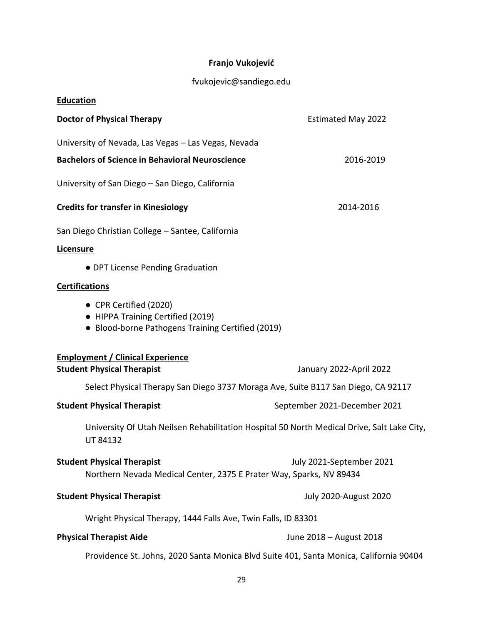# **Franjo Vukojević**

# fvukojevic@sandiego.edu

| <b>Education</b>                                                                                                 |                              |
|------------------------------------------------------------------------------------------------------------------|------------------------------|
| <b>Doctor of Physical Therapy</b>                                                                                | <b>Estimated May 2022</b>    |
| University of Nevada, Las Vegas - Las Vegas, Nevada                                                              |                              |
| <b>Bachelors of Science in Behavioral Neuroscience</b>                                                           | 2016-2019                    |
| University of San Diego - San Diego, California                                                                  |                              |
| <b>Credits for transfer in Kinesiology</b>                                                                       | 2014-2016                    |
| San Diego Christian College - Santee, California                                                                 |                              |
| Licensure                                                                                                        |                              |
| • DPT License Pending Graduation                                                                                 |                              |
| <b>Certifications</b>                                                                                            |                              |
| • CPR Certified (2020)<br>• HIPPA Training Certified (2019)<br>• Blood-borne Pathogens Training Certified (2019) |                              |
| <b>Employment / Clinical Experience</b>                                                                          |                              |
| <b>Student Physical Therapist</b>                                                                                | January 2022-April 2022      |
| Select Physical Therapy San Diego 3737 Moraga Ave, Suite B117 San Diego, CA 92117                                |                              |
| <b>Student Physical Therapist</b>                                                                                | September 2021-December 2021 |
| University Of Utah Neilsen Rehabilitation Hospital 50 North Medical Drive, Salt Lake City,<br><b>UT 84132</b>    |                              |
| <b>Student Physical Therapist</b><br>Northern Nevada Medical Center, 2375 E Prater Way, Sparks, NV 89434         | July 2021-September 2021     |
| <b>Student Physical Therapist</b>                                                                                | <b>July 2020-August 2020</b> |
| Wright Physical Therapy, 1444 Falls Ave, Twin Falls, ID 83301                                                    |                              |
| <b>Physical Therapist Aide</b>                                                                                   | June 2018 - August 2018      |
| Providence St. Johns, 2020 Santa Monica Blvd Suite 401, Santa Monica, California 90404                           |                              |